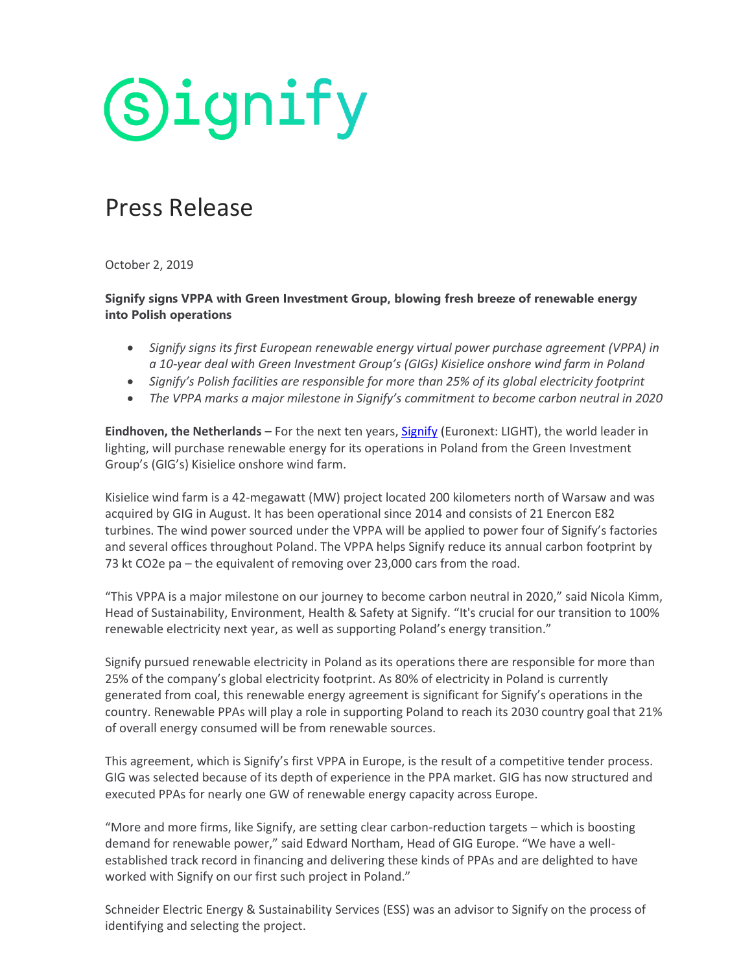

### Press Release

October 2, 2019

**Signify signs VPPA with Green Investment Group, blowing fresh breeze of renewable energy into Polish operations**

- *Signify signs its first European renewable energy virtual power purchase agreement (VPPA) in a 10-year deal with Green Investment Group's (GIGs) Kisielice onshore wind farm in Poland*
- *Signify's Polish facilities are responsible for more than 25% of its global electricity footprint*
- *The VPPA marks a major milestone in Signify's commitment to become carbon neutral in 2020*

**Eindhoven, the Netherlands –** For the next ten years, [Signify](https://www.signify.com/) (Euronext: LIGHT), the world leader in lighting, will purchase renewable energy for its operations in Poland from the Green Investment Group's (GIG's) Kisielice onshore wind farm.

Kisielice wind farm is a 42-megawatt (MW) project located 200 kilometers north of Warsaw and was acquired by GIG in August. It has been operational since 2014 and consists of 21 Enercon E82 turbines. The wind power sourced under the VPPA will be applied to power four of Signify's factories and several offices throughout Poland. The VPPA helps Signify reduce its annual carbon footprint by 73 kt CO2e pa – the equivalent of removing over 23,000 cars from the road.

"This VPPA is a major milestone on our journey to become carbon neutral in 2020," said Nicola Kimm, Head of Sustainability, Environment, Health & Safety at Signify. "It's crucial for our transition to 100% renewable electricity next year, as well as supporting Poland's energy transition."

Signify pursued renewable electricity in Poland as its operations there are responsible for more than 25% of the company's global electricity footprint. As 80% of electricity in Poland is currently generated from coal, this renewable energy agreement is significant for Signify's operations in the country. Renewable PPAs will play a role in supporting Poland to reach its 2030 country goal that 21% of overall energy consumed will be from renewable sources.

This agreement, which is Signify's first VPPA in Europe, is the result of a competitive tender process. GIG was selected because of its depth of experience in the PPA market. GIG has now structured and executed PPAs for nearly one GW of renewable energy capacity across Europe.

"More and more firms, like Signify, are setting clear carbon-reduction targets – which is boosting demand for renewable power," said Edward Northam, Head of GIG Europe. "We have a wellestablished track record in financing and delivering these kinds of PPAs and are delighted to have worked with Signify on our first such project in Poland."

Schneider Electric Energy & Sustainability Services (ESS) was an advisor to Signify on the process of identifying and selecting the project.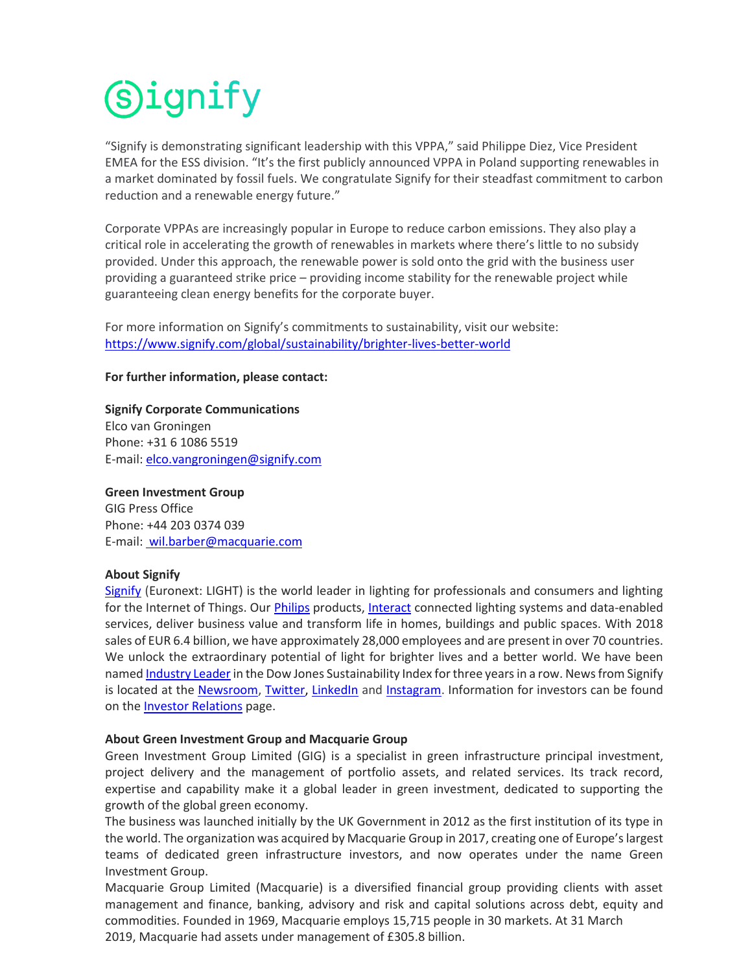# (S)ignify

"Signify is demonstrating significant leadership with this VPPA," said Philippe Diez, Vice President EMEA for the ESS division. "It's the first publicly announced VPPA in Poland supporting renewables in a market dominated by fossil fuels. We congratulate Signify for their steadfast commitment to carbon reduction and a renewable energy future."

Corporate VPPAs are increasingly popular in Europe to reduce carbon emissions. They also play a critical role in accelerating the growth of renewables in markets where there's little to no subsidy provided. Under this approach, the renewable power is sold onto the grid with the business user providing a guaranteed strike price – providing income stability for the renewable project while guaranteeing clean energy benefits for the corporate buyer.

For more information on Signify's commitments to sustainability, visit our website: <https://www.signify.com/global/sustainability/brighter-lives-better-world>

#### **For further information, please contact:**

**Signify Corporate Communications** Elco van Groningen Phone: +31 6 1086 5519 E-mail: [elco.vangroningen@signify.com](mailto:elco.vangroningen@signify.com)

**Green Investment Group**  GIG Press Office Phone: +44 203 0374 039 E-mail: wil.barber@macquarie.com

#### **About Signify**

[Signify](http://www.signify.com/) (Euronext: LIGHT) is the world leader in lighting for professionals and consumers and lighting for the Internet of Things. Our [Philips](http://www.lighting.philips.com/) products, [Interact](https://www.interact-lighting.com/en) connected lighting systems and data-enabled services, deliver business value and transform life in homes, buildings and public spaces. With 2018 sales of EUR 6.4 billion, we have approximately 28,000 employees and are present in over 70 countries. We unlock the extraordinary potential of light for brighter lives and a better world. We have been name[d Industry Leader](https://www.signify.com/global/our-company/news/press-releases/2019/20190916-signify-named-industry-leader-in-2019-dow-jones-sustainability-index) in the Dow Jones Sustainability Index for three years in a row. News from Signify is located at the [Newsroom,](http://www.signify.com/news) [Twitter,](http://www.twitter.com/Signify_Press) [LinkedIn](https://www.linkedin.com/showcase/18082655/admin/updates/) and [Instagram.](https://www.instagram.com/signify_press/) Information for investors can be found on the [Investor Relations](http://www.signify.com/investorrelations) page.

#### **About Green Investment Group and Macquarie Group**

Green Investment Group Limited (GIG) is a specialist in green infrastructure principal investment, project delivery and the management of portfolio assets, and related services. Its track record, expertise and capability make it a global leader in green investment, dedicated to supporting the growth of the global green economy.

The business was launched initially by the UK Government in 2012 as the first institution of its type in the world. The organization was acquired by Macquarie Group in 2017, creating one of Europe's largest teams of dedicated green infrastructure investors, and now operates under the name Green Investment Group.

Macquarie Group Limited (Macquarie) is a diversified financial group providing clients with asset management and finance, banking, advisory and risk and capital solutions across debt, equity and commodities. Founded in 1969, Macquarie employs 15,715 people in 30 markets. At 31 March 2019, Macquarie had assets under management of £305.8 billion.